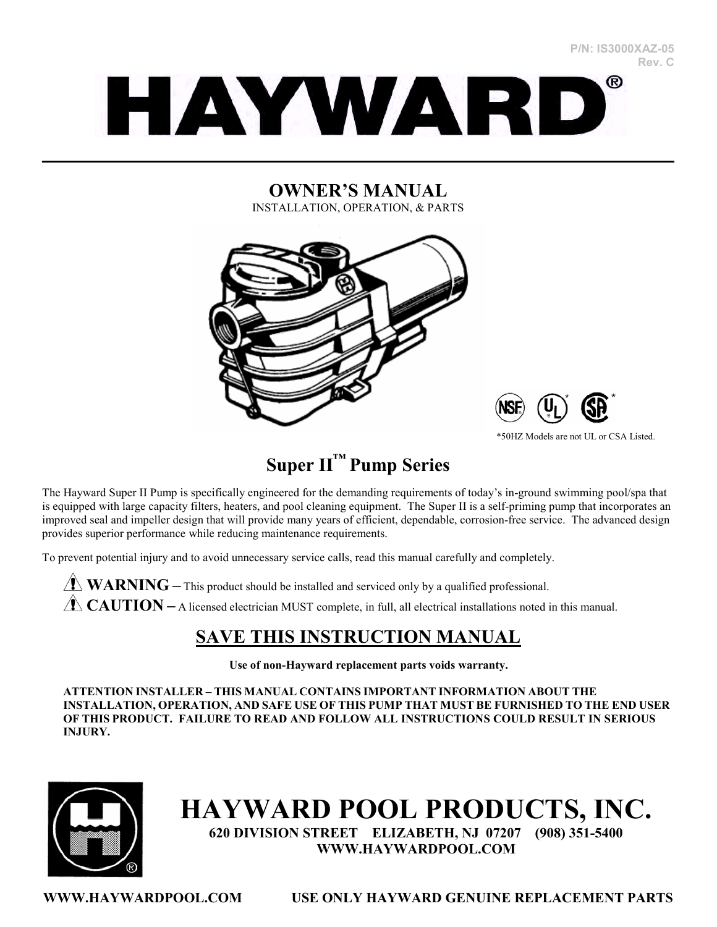#### **P/N: IS3000XAZ-05 Rev. C**



#### **OWNER'S MANUAL**  INSTALLATION, OPERATION, & PARTS

 $\mathcal{L}_\mathcal{L} = \mathcal{L}_\mathcal{L} = \mathcal{L}_\mathcal{L} = \mathcal{L}_\mathcal{L} = \mathcal{L}_\mathcal{L} = \mathcal{L}_\mathcal{L} = \mathcal{L}_\mathcal{L} = \mathcal{L}_\mathcal{L} = \mathcal{L}_\mathcal{L} = \mathcal{L}_\mathcal{L} = \mathcal{L}_\mathcal{L} = \mathcal{L}_\mathcal{L} = \mathcal{L}_\mathcal{L} = \mathcal{L}_\mathcal{L} = \mathcal{L}_\mathcal{L} = \mathcal{L}_\mathcal{L} = \mathcal{L}_\mathcal{L}$ 





\*50HZ Models are not UL or CSA Listed.

# **Super II™ Pump Series**

The Hayward Super II Pump is specifically engineered for the demanding requirements of today's in-ground swimming pool/spa that is equipped with large capacity filters, heaters, and pool cleaning equipment. The Super II is a self-priming pump that incorporates an improved seal and impeller design that will provide many years of efficient, dependable, corrosion-free service. The advanced design provides superior performance while reducing maintenance requirements.

To prevent potential injury and to avoid unnecessary service calls, read this manual carefully and completely.

**WARNING** – This product should be installed and serviced only by a qualified professional. **CAUTION** – A licensed electrician MUST complete, in full, all electrical installations noted in this manual.

# **SAVE THIS INSTRUCTION MANUAL**

**Use of non-Hayward replacement parts voids warranty.** 

**ATTENTION INSTALLER – THIS MANUAL CONTAINS IMPORTANT INFORMATION ABOUT THE INSTALLATION, OPERATION, AND SAFE USE OF THIS PUMP THAT MUST BE FURNISHED TO THE END USER OF THIS PRODUCT. FAILURE TO READ AND FOLLOW ALL INSTRUCTIONS COULD RESULT IN SERIOUS INJURY.** 



# **HAYWARD POOL PRODUCTS, INC.**

**620 DIVISION STREET ELIZABETH, NJ 07207 (908) 351-5400 WWW.HAYWARDPOOL.COM**

**WWW.HAYWARDPOOL.COM USE ONLY HAYWARD GENUINE REPLACEMENT PARTS**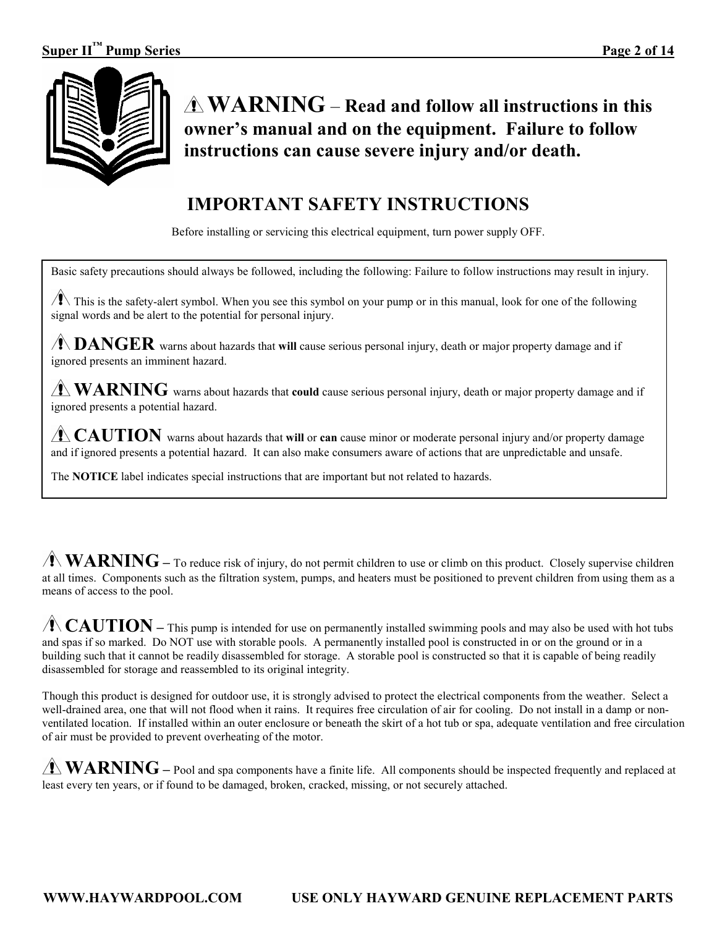

**WARNING** – **Read and follow all instructions in this owner's manual and on the equipment. Failure to follow instructions can cause severe injury and/or death.** 

# **IMPORTANT SAFETY INSTRUCTIONS**

Before installing or servicing this electrical equipment, turn power supply OFF.

Basic safety precautions should always be followed, including the following: Failure to follow instructions may result in injury.

 $\sqrt{1}$  This is the safety-alert symbol. When you see this symbol on your pump or in this manual, look for one of the following signal words and be alert to the potential for personal injury.

**DANGER** warns about hazards that **will** cause serious personal injury, death or major property damage and if ignored presents an imminent hazard.

**WARNING** warns about hazards that **could** cause serious personal injury, death or major property damage and if ignored presents a potential hazard.

**CAUTION** warns about hazards that will or **can** cause minor or moderate personal injury and/or property damage and if ignored presents a potential hazard. It can also make consumers aware of actions that are unpredictable and unsafe.

The **NOTICE** label indicates special instructions that are important but not related to hazards.

**WARNING** – To reduce risk of injury, do not permit children to use or climb on this product. Closely supervise children at all times. Components such as the filtration system, pumps, and heaters must be positioned to prevent children from using them as a means of access to the pool.

**CAUTION** – This pump is intended for use on permanently installed swimming pools and may also be used with hot tubs and spas if so marked. Do NOT use with storable pools. A permanently installed pool is constructed in or on the ground or in a building such that it cannot be readily disassembled for storage. A storable pool is constructed so that it is capable of being readily disassembled for storage and reassembled to its original integrity.

Though this product is designed for outdoor use, it is strongly advised to protect the electrical components from the weather. Select a well-drained area, one that will not flood when it rains. It requires free circulation of air for cooling. Do not install in a damp or nonventilated location. If installed within an outer enclosure or beneath the skirt of a hot tub or spa, adequate ventilation and free circulation of air must be provided to prevent overheating of the motor.

**WARNING –** Pool and spa components have a finite life. All components should be inspected frequently and replaced at least every ten years, or if found to be damaged, broken, cracked, missing, or not securely attached.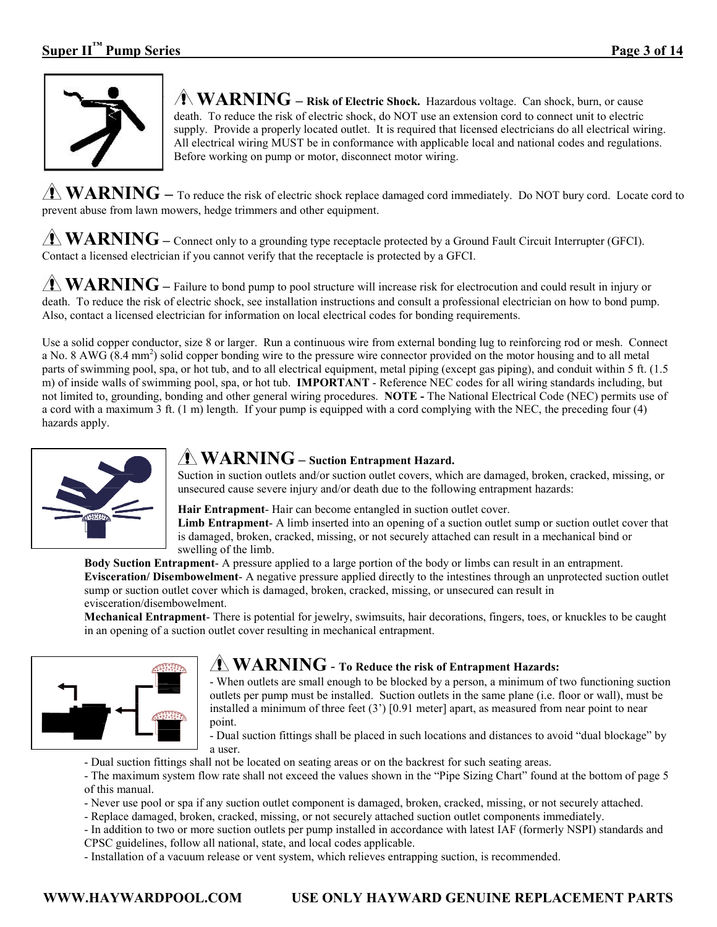

 $\triangle$  **WARNING** – Risk of Electric Shock. Hazardous voltage. Can shock, burn, or cause death. To reduce the risk of electric shock, do NOT use an extension cord to connect unit to electric supply. Provide a properly located outlet. It is required that licensed electricians do all electrical wiring. All electrical wiring MUST be in conformance with applicable local and national codes and regulations. Before working on pump or motor, disconnect motor wiring.

**WARNING** – To reduce the risk of electric shock replace damaged cord immediately. Do NOT bury cord. Locate cord to prevent abuse from lawn mowers, hedge trimmers and other equipment.

**WARNING** – Connect only to a grounding type receptacle protected by a Ground Fault Circuit Interrupter (GFCI). Contact a licensed electrician if you cannot verify that the receptacle is protected by a GFCI.

**WARNING –** Failure to bond pump to pool structure will increase risk for electrocution and could result in injury or death. To reduce the risk of electric shock, see installation instructions and consult a professional electrician on how to bond pump. Also, contact a licensed electrician for information on local electrical codes for bonding requirements.

Use a solid copper conductor, size 8 or larger. Run a continuous wire from external bonding lug to reinforcing rod or mesh. Connect a No. 8 AWG (8.4 mm<sup>2</sup>) solid copper bonding wire to the pressure wire connector provided on the motor housing and to all metal parts of swimming pool, spa, or hot tub, and to all electrical equipment, metal piping (except gas piping), and conduit within 5 ft. (1.5 m) of inside walls of swimming pool, spa, or hot tub. **IMPORTANT** - Reference NEC codes for all wiring standards including, but not limited to, grounding, bonding and other general wiring procedures. **NOTE -** The National Electrical Code (NEC) permits use of a cord with a maximum 3 ft. (1 m) length. If your pump is equipped with a cord complying with the NEC, the preceding four (4) hazards apply.



# **WARNING – Suction Entrapment Hazard.**

Suction in suction outlets and/or suction outlet covers, which are damaged, broken, cracked, missing, or unsecured cause severe injury and/or death due to the following entrapment hazards:

**Hair Entrapment**- Hair can become entangled in suction outlet cover.

**Limb Entrapment**- A limb inserted into an opening of a suction outlet sump or suction outlet cover that is damaged, broken, cracked, missing, or not securely attached can result in a mechanical bind or swelling of the limb.

**Body Suction Entrapment**- A pressure applied to a large portion of the body or limbs can result in an entrapment. **Evisceration/ Disembowelment**- A negative pressure applied directly to the intestines through an unprotected suction outlet sump or suction outlet cover which is damaged, broken, cracked, missing, or unsecured can result in

evisceration/disembowelment.

**Mechanical Entrapment**- There is potential for jewelry, swimsuits, hair decorations, fingers, toes, or knuckles to be caught in an opening of a suction outlet cover resulting in mechanical entrapment.



# **WARNING** - **To Reduce the risk of Entrapment Hazards:**

- When outlets are small enough to be blocked by a person, a minimum of two functioning suction outlets per pump must be installed. Suction outlets in the same plane (i.e. floor or wall), must be installed a minimum of three feet (3') [0.91 meter] apart, as measured from near point to near point.

- Dual suction fittings shall be placed in such locations and distances to avoid "dual blockage" by a user.

- Dual suction fittings shall not be located on seating areas or on the backrest for such seating areas.
- The maximum system flow rate shall not exceed the values shown in the "Pipe Sizing Chart" found at the bottom of page 5 of this manual.
- Never use pool or spa if any suction outlet component is damaged, broken, cracked, missing, or not securely attached.
- Replace damaged, broken, cracked, missing, or not securely attached suction outlet components immediately.

- In addition to two or more suction outlets per pump installed in accordance with latest IAF (formerly NSPI) standards and CPSC guidelines, follow all national, state, and local codes applicable.

- Installation of a vacuum release or vent system, which relieves entrapping suction, is recommended.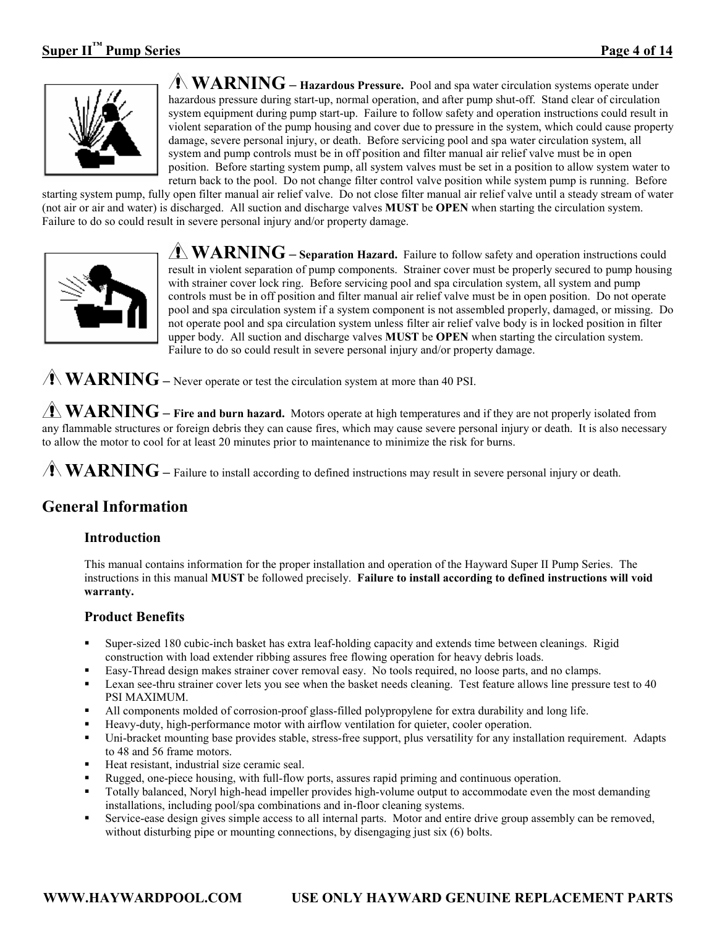

**WARNING** – Hazardous Pressure. Pool and spa water circulation systems operate under hazardous pressure during start-up, normal operation, and after pump shut-off. Stand clear of circulation system equipment during pump start-up. Failure to follow safety and operation instructions could result in violent separation of the pump housing and cover due to pressure in the system, which could cause property damage, severe personal injury, or death. Before servicing pool and spa water circulation system, all system and pump controls must be in off position and filter manual air relief valve must be in open position. Before starting system pump, all system valves must be set in a position to allow system water to return back to the pool. Do not change filter control valve position while system pump is running. Before

starting system pump, fully open filter manual air relief valve. Do not close filter manual air relief valve until a steady stream of water (not air or air and water) is discharged. All suction and discharge valves **MUST** be **OPEN** when starting the circulation system. Failure to do so could result in severe personal injury and/or property damage.



**WARNING** – **Separation Hazard.** Failure to follow safety and operation instructions could result in violent separation of pump components. Strainer cover must be properly secured to pump housing with strainer cover lock ring. Before servicing pool and spa circulation system, all system and pump controls must be in off position and filter manual air relief valve must be in open position. Do not operate pool and spa circulation system if a system component is not assembled properly, damaged, or missing. Do not operate pool and spa circulation system unless filter air relief valve body is in locked position in filter upper body. All suction and discharge valves **MUST** be **OPEN** when starting the circulation system. Failure to do so could result in severe personal injury and/or property damage.

**WARNING** – Never operate or test the circulation system at more than 40 PSI.

**WARNING** – Fire and burn hazard. Motors operate at high temperatures and if they are not properly isolated from any flammable structures or foreign debris they can cause fires, which may cause severe personal injury or death. It is also necessary to allow the motor to cool for at least 20 minutes prior to maintenance to minimize the risk for burns.

**WARNING** – Failure to install according to defined instructions may result in severe personal injury or death.

# **General Information**

#### **Introduction**

This manual contains information for the proper installation and operation of the Hayward Super II Pump Series. The instructions in this manual **MUST** be followed precisely. **Failure to install according to defined instructions will void warranty.** 

#### **Product Benefits**

- Super-sized 180 cubic-inch basket has extra leaf-holding capacity and extends time between cleanings. Rigid construction with load extender ribbing assures free flowing operation for heavy debris loads.
- Easy-Thread design makes strainer cover removal easy. No tools required, no loose parts, and no clamps.
- Lexan see-thru strainer cover lets you see when the basket needs cleaning. Test feature allows line pressure test to 40 PSI MAXIMUM.
- All components molded of corrosion-proof glass-filled polypropylene for extra durability and long life.
- Heavy-duty, high-performance motor with airflow ventilation for quieter, cooler operation.
- Uni-bracket mounting base provides stable, stress-free support, plus versatility for any installation requirement. Adapts to 48 and 56 frame motors.
- Heat resistant, industrial size ceramic seal.
- Rugged, one-piece housing, with full-flow ports, assures rapid priming and continuous operation.
- Totally balanced, Noryl high-head impeller provides high-volume output to accommodate even the most demanding installations, including pool/spa combinations and in-floor cleaning systems.
- Service-ease design gives simple access to all internal parts. Motor and entire drive group assembly can be removed, without disturbing pipe or mounting connections, by disengaging just six (6) bolts.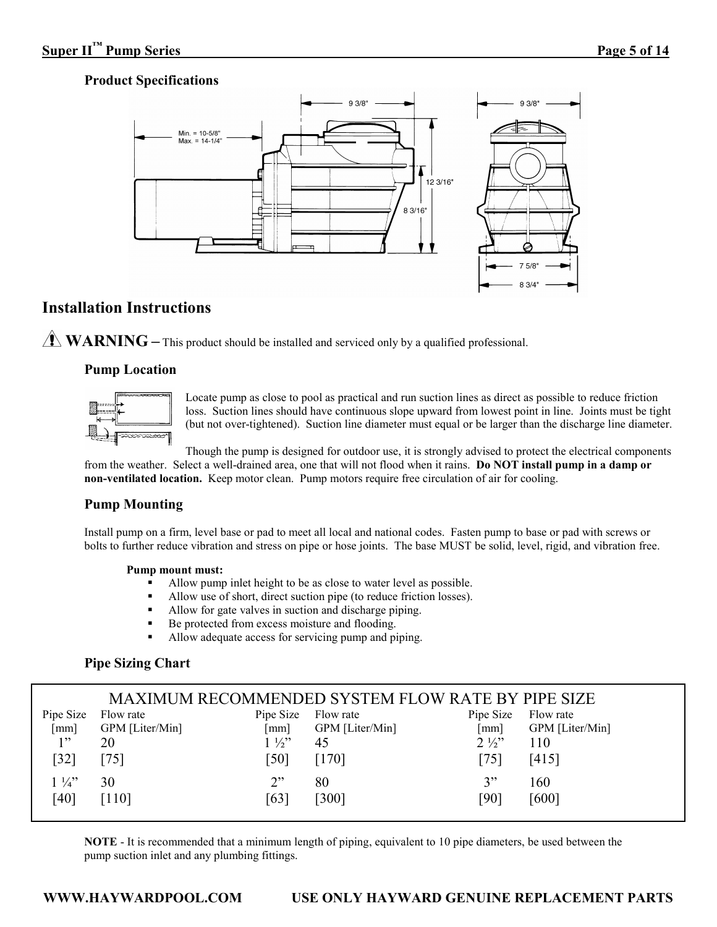# **Product Specifications**



# **Installation Instructions**

WARNING – This product should be installed and serviced only by a qualified professional.

# **Pump Location**



Locate pump as close to pool as practical and run suction lines as direct as possible to reduce friction loss. Suction lines should have continuous slope upward from lowest point in line. Joints must be tight (but not over-tightened). Suction line diameter must equal or be larger than the discharge line diameter.

Though the pump is designed for outdoor use, it is strongly advised to protect the electrical components from the weather. Select a well-drained area, one that will not flood when it rains. **Do NOT install pump in a damp or non-ventilated location.** Keep motor clean. Pump motors require free circulation of air for cooling.

# **Pump Mounting**

Install pump on a firm, level base or pad to meet all local and national codes. Fasten pump to base or pad with screws or bolts to further reduce vibration and stress on pipe or hose joints. The base MUST be solid, level, rigid, and vibration free.

#### **Pump mount must:**

- Allow pump inlet height to be as close to water level as possible.
- Allow use of short, direct suction pipe (to reduce friction losses).
- Allow for gate valves in suction and discharge piping.
- Be protected from excess moisture and flooding.
- Allow adequate access for servicing pump and piping.

# **Pipe Sizing Chart**

|                |                 |                | MAXIMUM RECOMMENDED SYSTEM FLOW RATE BY PIPE SIZE |                |                 |
|----------------|-----------------|----------------|---------------------------------------------------|----------------|-----------------|
| Pipe Size      | Flow rate       | Pipe Size      | Flow rate                                         | Pipe Size      | Flow rate       |
| [mm]           | GPM [Liter/Min] | [mm]           | GPM [Liter/Min]                                   | [mm]           | GPM [Liter/Min] |
| 1"             | 20              | $1\frac{1}{2}$ | 45                                                | $2\frac{1}{2}$ | 110             |
| [32]           | 751             | [50]           | $[170]$                                           | [75]           | [415]           |
| $1\frac{1}{4}$ | 30              | 2"             | 80                                                | 3"             | 160             |
| [40]           | [110]           | [63]           | [300]                                             | [90]           | [600]           |

**NOTE** - It is recommended that a minimum length of piping, equivalent to 10 pipe diameters, be used between the pump suction inlet and any plumbing fittings.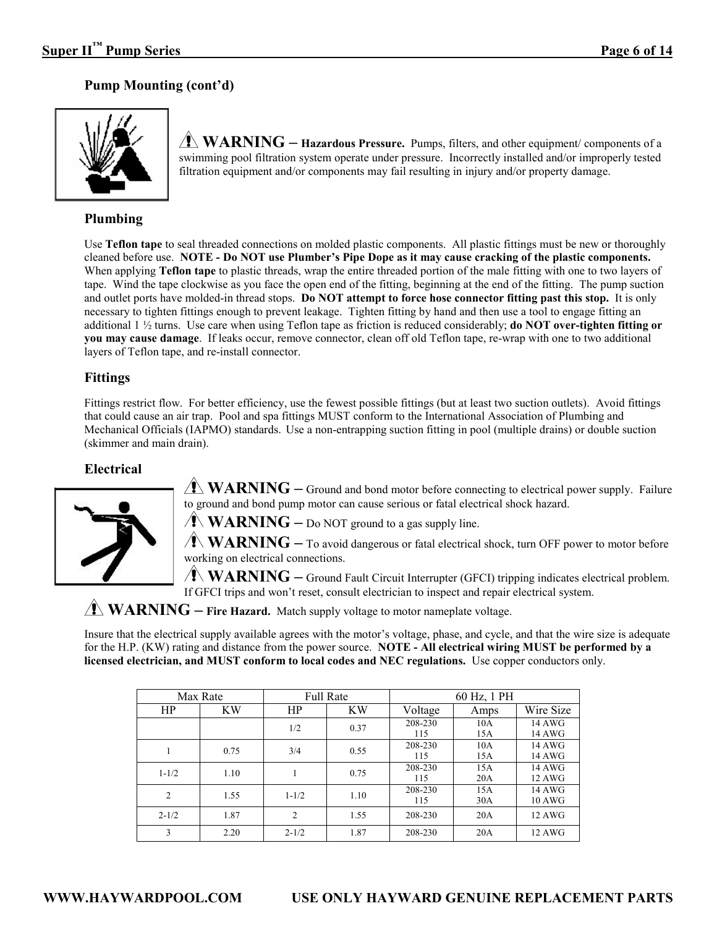# **Pump Mounting (cont'd)**



**WARNING – Hazardous Pressure.** Pumps, filters, and other equipment/ components of a swimming pool filtration system operate under pressure. Incorrectly installed and/or improperly tested filtration equipment and/or components may fail resulting in injury and/or property damage.

# **Plumbing**

Use **Teflon tape** to seal threaded connections on molded plastic components. All plastic fittings must be new or thoroughly cleaned before use. **NOTE - Do NOT use Plumber's Pipe Dope as it may cause cracking of the plastic components.**  When applying **Teflon tape** to plastic threads, wrap the entire threaded portion of the male fitting with one to two layers of tape. Wind the tape clockwise as you face the open end of the fitting, beginning at the end of the fitting. The pump suction and outlet ports have molded-in thread stops. **Do NOT attempt to force hose connector fitting past this stop.** It is only necessary to tighten fittings enough to prevent leakage. Tighten fitting by hand and then use a tool to engage fitting an additional 1 ½ turns. Use care when using Teflon tape as friction is reduced considerably; **do NOT over-tighten fitting or you may cause damage**. If leaks occur, remove connector, clean off old Teflon tape, re-wrap with one to two additional layers of Teflon tape, and re-install connector.

# **Fittings**

Fittings restrict flow. For better efficiency, use the fewest possible fittings (but at least two suction outlets). Avoid fittings that could cause an air trap. Pool and spa fittings MUST conform to the International Association of Plumbing and Mechanical Officials (IAPMO) standards. Use a non-entrapping suction fitting in pool (multiple drains) or double suction (skimmer and main drain).

# **Electrical**



**WARNING** – Ground and bond motor before connecting to electrical power supply. Failure to ground and bond pump motor can cause serious or fatal electrical shock hazard.

 $\sqrt{\bf{N}}$  **WARNING** – Do NOT ground to a gas supply line.

**WARNING** – To avoid dangerous or fatal electrical shock, turn OFF power to motor before working on electrical connections.

**WARNING** – Ground Fault Circuit Interrupter (GFCI) tripping indicates electrical problem. If GFCI trips and won't reset, consult electrician to inspect and repair electrical system.

# **WARNING** – Fire Hazard. Match supply voltage to motor nameplate voltage.

Insure that the electrical supply available agrees with the motor's voltage, phase, and cycle, and that the wire size is adequate for the H.P. (KW) rating and distance from the power source. **NOTE - All electrical wiring MUST be performed by a licensed electrician, and MUST conform to local codes and NEC regulations.** Use copper conductors only.

|                | Max Rate  |                | <b>Full Rate</b> |                | 60 Hz, 1 PH |                         |
|----------------|-----------|----------------|------------------|----------------|-------------|-------------------------|
| HP             | <b>KW</b> | HP             | <b>KW</b>        | Voltage        | Amps        | Wire Size               |
|                |           | 1/2            | 0.37             | 208-230<br>115 | 10A<br>15A  | 14 AWG<br>14 AWG        |
|                | 0.75      | 3/4            | 0.55             | 208-230<br>115 | 10A<br>15A  | 14 AWG<br>14 AWG        |
| $1 - 1/2$      | 1.10      |                | 0.75             | 208-230<br>115 | 15A<br>20A  | 14 AWG<br>12 AWG        |
| $\overline{2}$ | 1.55      | $1 - 1/2$      | 1.10             | 208-230<br>115 | 15A<br>30A  | 14 AWG<br><b>10 AWG</b> |
| $2 - 1/2$      | 1.87      | $\overline{2}$ | 1.55             | 208-230        | 20A         | 12 AWG                  |
| 3              | 2.20      | $2 - 1/2$      | 1.87             | 208-230        | 20A         | 12 AWG                  |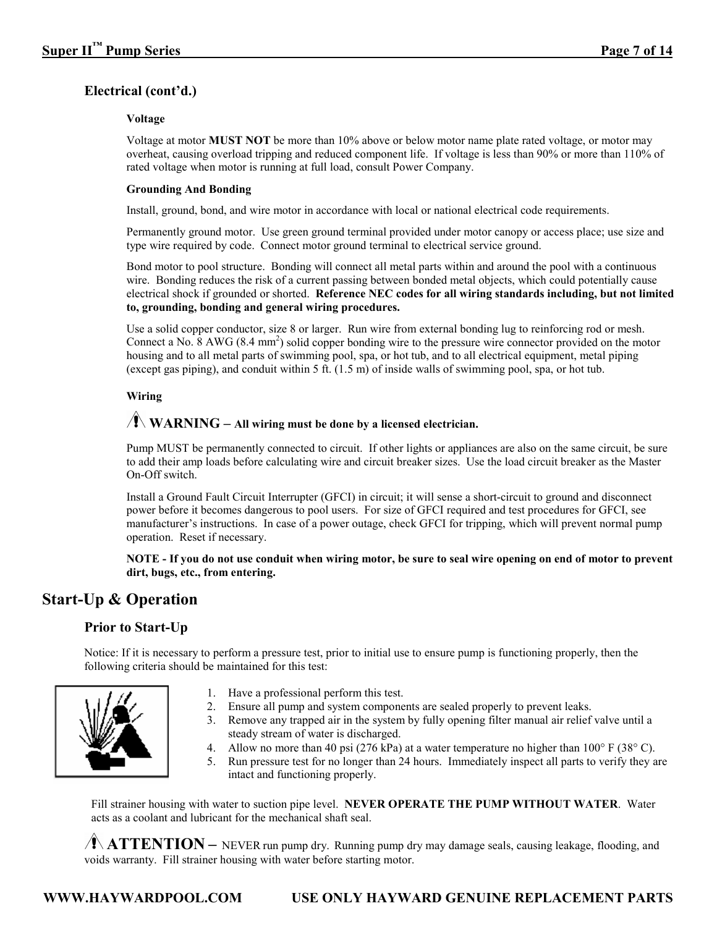# **Electrical (cont'd.)**

#### **Voltage**

Voltage at motor **MUST NOT** be more than 10% above or below motor name plate rated voltage, or motor may overheat, causing overload tripping and reduced component life. If voltage is less than 90% or more than 110% of rated voltage when motor is running at full load, consult Power Company.

#### **Grounding And Bonding**

Install, ground, bond, and wire motor in accordance with local or national electrical code requirements.

Permanently ground motor. Use green ground terminal provided under motor canopy or access place; use size and type wire required by code. Connect motor ground terminal to electrical service ground.

Bond motor to pool structure. Bonding will connect all metal parts within and around the pool with a continuous wire. Bonding reduces the risk of a current passing between bonded metal objects, which could potentially cause electrical shock if grounded or shorted. **Reference NEC codes for all wiring standards including, but not limited to, grounding, bonding and general wiring procedures.** 

Use a solid copper conductor, size 8 or larger. Run wire from external bonding lug to reinforcing rod or mesh. Connect a No.  $8$  AWG ( $8.4$  mm<sup>2</sup>) solid copper bonding wire to the pressure wire connector provided on the motor housing and to all metal parts of swimming pool, spa, or hot tub, and to all electrical equipment, metal piping (except gas piping), and conduit within 5 ft. (1.5 m) of inside walls of swimming pool, spa, or hot tub.

#### **Wiring**

# $\sqrt{2}$  WARNING – All wiring must be done by a licensed electrician.

Pump MUST be permanently connected to circuit. If other lights or appliances are also on the same circuit, be sure to add their amp loads before calculating wire and circuit breaker sizes. Use the load circuit breaker as the Master On-Off switch.

Install a Ground Fault Circuit Interrupter (GFCI) in circuit; it will sense a short-circuit to ground and disconnect power before it becomes dangerous to pool users. For size of GFCI required and test procedures for GFCI, see manufacturer's instructions. In case of a power outage, check GFCI for tripping, which will prevent normal pump operation. Reset if necessary.

**NOTE - If you do not use conduit when wiring motor, be sure to seal wire opening on end of motor to prevent dirt, bugs, etc., from entering.**

# **Start-Up & Operation**

# **Prior to Start-Up**

Notice: If it is necessary to perform a pressure test, prior to initial use to ensure pump is functioning properly, then the following criteria should be maintained for this test:



- 1. Have a professional perform this test.
- 2. Ensure all pump and system components are sealed properly to prevent leaks.
- 3. Remove any trapped air in the system by fully opening filter manual air relief valve until a steady stream of water is discharged.
- 4. Allow no more than 40 psi (276 kPa) at a water temperature no higher than 100 $\degree$  F (38 $\degree$  C).
- 5. Run pressure test for no longer than 24 hours. Immediately inspect all parts to verify they are intact and functioning properly.

Fill strainer housing with water to suction pipe level. **NEVER OPERATE THE PUMP WITHOUT WATER**. Water acts as a coolant and lubricant for the mechanical shaft seal.

**ATTENTION** – NEVER run pump dry. Running pump dry may damage seals, causing leakage, flooding, and voids warranty. Fill strainer housing with water before starting motor.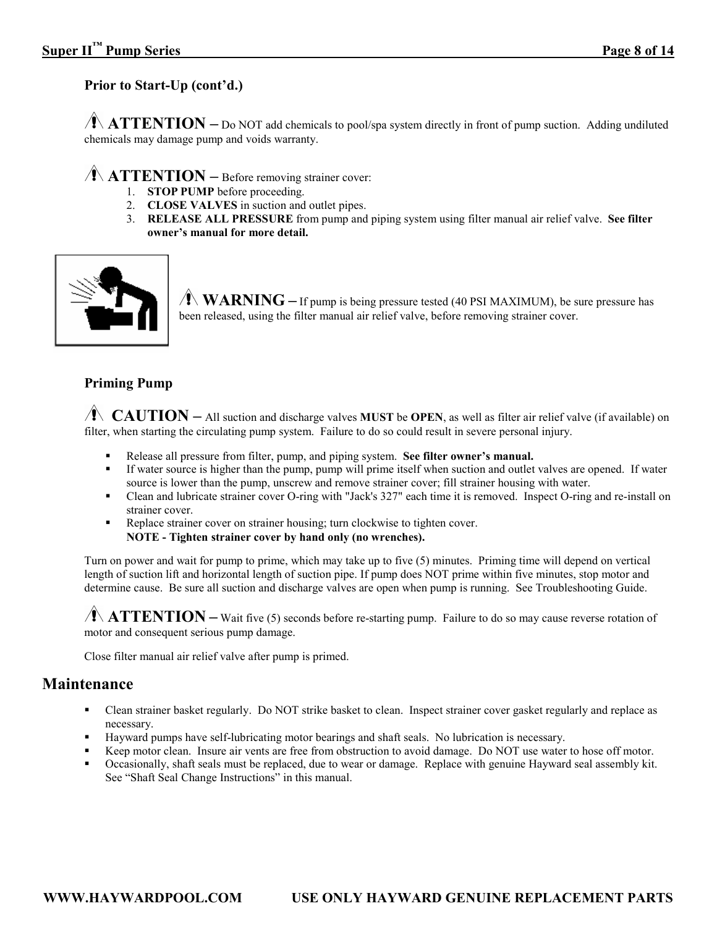# **Prior to Start-Up (cont'd.)**

**ATTENTION** – Do NOT add chemicals to pool/spa system directly in front of pump suction. Adding undiluted chemicals may damage pump and voids warranty.

# **ATTENTION –** Before removing strainer cover:

- 1. **STOP PUMP** before proceeding.
- 2. **CLOSE VALVES** in suction and outlet pipes.
- 3. **RELEASE ALL PRESSURE** from pump and piping system using filter manual air relief valve. **See filter owner's manual for more detail.**



 $\sqrt{\bf{N} \cdot \bf{W} \cdot \bf{R} \cdot \bf{N}}$  **WARNING** – If pump is being pressure tested (40 PSI MAXIMUM), be sure pressure has been released, using the filter manual air relief valve, before removing strainer cover.

#### **Priming Pump**

**CAUTION** – All suction and discharge valves MUST be OPEN, as well as filter air relief valve (if available) on filter, when starting the circulating pump system. Failure to do so could result in severe personal injury.

- Release all pressure from filter, pump, and piping system. **See filter owner's manual.**
- If water source is higher than the pump, pump will prime itself when suction and outlet valves are opened. If water source is lower than the pump, unscrew and remove strainer cover; fill strainer housing with water.
- Clean and lubricate strainer cover O-ring with "Jack's 327" each time it is removed. Inspect O-ring and re-install on strainer cover.
- Replace strainer cover on strainer housing; turn clockwise to tighten cover. **NOTE - Tighten strainer cover by hand only (no wrenches).**

Turn on power and wait for pump to prime, which may take up to five (5) minutes. Priming time will depend on vertical length of suction lift and horizontal length of suction pipe. If pump does NOT prime within five minutes, stop motor and determine cause. Be sure all suction and discharge valves are open when pump is running. See Troubleshooting Guide.

 $\sqrt{1}$  **ATTENTION** – Wait five (5) seconds before re-starting pump. Failure to do so may cause reverse rotation of motor and consequent serious pump damage.

Close filter manual air relief valve after pump is primed.

# **Maintenance**

- Clean strainer basket regularly. Do NOT strike basket to clean. Inspect strainer cover gasket regularly and replace as necessary.
- Hayward pumps have self-lubricating motor bearings and shaft seals. No lubrication is necessary.
- Keep motor clean. Insure air vents are free from obstruction to avoid damage. Do NOT use water to hose off motor.
- Occasionally, shaft seals must be replaced, due to wear or damage. Replace with genuine Hayward seal assembly kit. See "Shaft Seal Change Instructions" in this manual.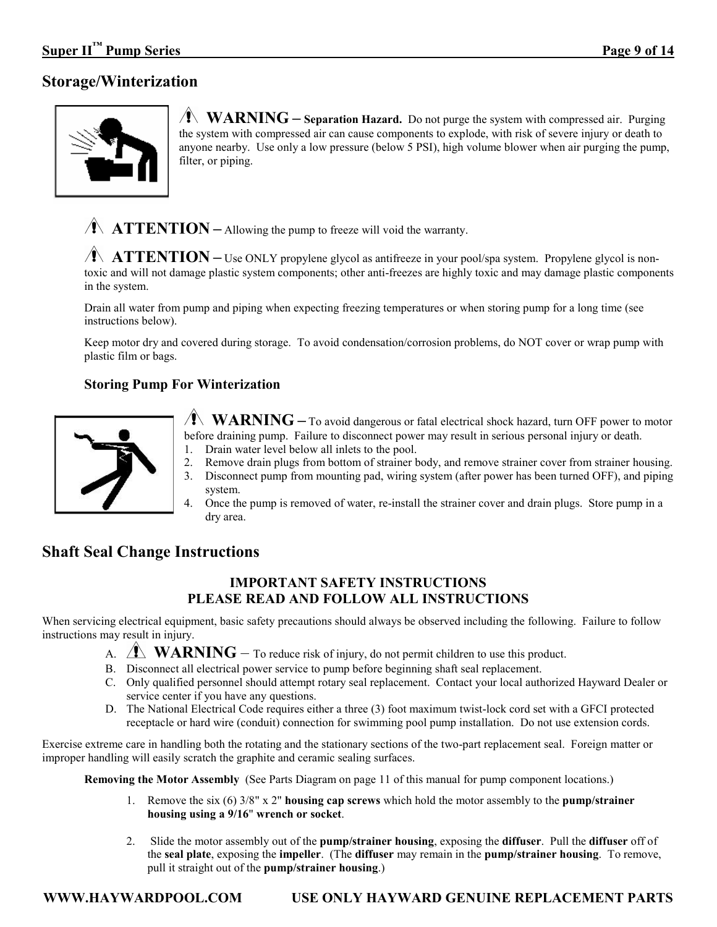# **Storage/Winterization**



**WARNING** – **Separation Hazard.** Do not purge the system with compressed air. Purging the system with compressed air can cause components to explode, with risk of severe injury or death to anyone nearby. Use only a low pressure (below 5 PSI), high volume blower when air purging the pump, filter, or piping.

**ATTENTION** – Allowing the pump to freeze will void the warranty.

**ATTENTION** – Use ONLY propylene glycol as antifreeze in your pool/spa system. Propylene glycol is nontoxic and will not damage plastic system components; other anti-freezes are highly toxic and may damage plastic components in the system.

Drain all water from pump and piping when expecting freezing temperatures or when storing pump for a long time (see instructions below).

Keep motor dry and covered during storage. To avoid condensation/corrosion problems, do NOT cover or wrap pump with plastic film or bags.

# **Storing Pump For Winterization**



**WARNING** – To avoid dangerous or fatal electrical shock hazard, turn OFF power to motor before draining pump. Failure to disconnect power may result in serious personal injury or death.

- 1. Drain water level below all inlets to the pool.
- 2. Remove drain plugs from bottom of strainer body, and remove strainer cover from strainer housing.
- 3. Disconnect pump from mounting pad, wiring system (after power has been turned OFF), and piping system.
- 4. Once the pump is removed of water, re-install the strainer cover and drain plugs. Store pump in a dry area.

# **Shaft Seal Change Instructions**

# **IMPORTANT SAFETY INSTRUCTIONS PLEASE READ AND FOLLOW ALL INSTRUCTIONS**

When servicing electrical equipment, basic safety precautions should always be observed including the following. Failure to follow instructions may result in injury.

- A. **WARNING** To reduce risk of injury, do not permit children to use this product.
- B. Disconnect all electrical power service to pump before beginning shaft seal replacement.
- C. Only qualified personnel should attempt rotary seal replacement. Contact your local authorized Hayward Dealer or service center if you have any questions.
- D. The National Electrical Code requires either a three (3) foot maximum twist-lock cord set with a GFCI protected receptacle or hard wire (conduit) connection for swimming pool pump installation. Do not use extension cords.

Exercise extreme care in handling both the rotating and the stationary sections of the two-part replacement seal. Foreign matter or improper handling will easily scratch the graphite and ceramic sealing surfaces.

**Removing the Motor Assembly** (See Parts Diagram on page 11 of this manual for pump component locations.)

- 1. Remove the six (6) 3/8" x 2" **housing cap screws** which hold the motor assembly to the **pump/strainer housing using a 9/16**" **wrench or socket**.
- 2. Slide the motor assembly out of the **pump/strainer housing**, exposing the **diffuser**. Pull the **diffuser** off of the **seal plate**, exposing the **impeller**. (The **diffuser** may remain in the **pump/strainer housing**. To remove, pull it straight out of the **pump/strainer housing**.)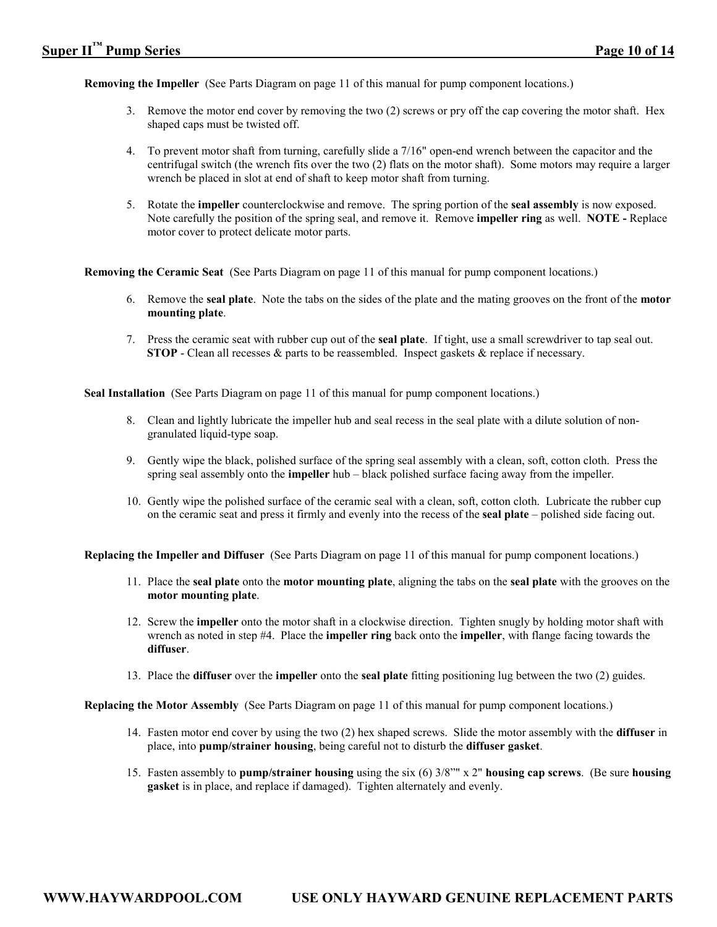**Removing the Impeller** (See Parts Diagram on page 11 of this manual for pump component locations.)

- 3. Remove the motor end cover by removing the two (2) screws or pry off the cap covering the motor shaft. Hex shaped caps must be twisted off.
- 4. To prevent motor shaft from turning, carefully slide a 7/16" open-end wrench between the capacitor and the centrifugal switch (the wrench fits over the two (2) flats on the motor shaft). Some motors may require a larger wrench be placed in slot at end of shaft to keep motor shaft from turning.
- 5. Rotate the **impeller** counterclockwise and remove. The spring portion of the **seal assembly** is now exposed. Note carefully the position of the spring seal, and remove it. Remove **impeller ring** as well. **NOTE -** Replace motor cover to protect delicate motor parts.

**Removing the Ceramic Seat** (See Parts Diagram on page 11 of this manual for pump component locations.)

- 6. Remove the **seal plate**. Note the tabs on the sides of the plate and the mating grooves on the front of the **motor mounting plate**.
- 7. Press the ceramic seat with rubber cup out of the **seal plate**. If tight, use a small screwdriver to tap seal out. **STOP** - Clean all recesses & parts to be reassembled. Inspect gaskets & replace if necessary.

**Seal Installation** (See Parts Diagram on page 11 of this manual for pump component locations.)

- 8. Clean and lightly lubricate the impeller hub and seal recess in the seal plate with a dilute solution of nongranulated liquid-type soap.
- 9. Gently wipe the black, polished surface of the spring seal assembly with a clean, soft, cotton cloth. Press the spring seal assembly onto the **impeller** hub – black polished surface facing away from the impeller.
- 10. Gently wipe the polished surface of the ceramic seal with a clean, soft, cotton cloth. Lubricate the rubber cup on the ceramic seat and press it firmly and evenly into the recess of the **seal plate** – polished side facing out.

**Replacing the Impeller and Diffuser** (See Parts Diagram on page 11 of this manual for pump component locations.)

- 11. Place the **seal plate** onto the **motor mounting plate**, aligning the tabs on the **seal plate** with the grooves on the **motor mounting plate**.
- 12. Screw the **impeller** onto the motor shaft in a clockwise direction. Tighten snugly by holding motor shaft with wrench as noted in step #4. Place the **impeller ring** back onto the **impeller**, with flange facing towards the **diffuser**.
- 13. Place the **diffuser** over the **impeller** onto the **seal plate** fitting positioning lug between the two (2) guides.

 **Replacing the Motor Assembly** (See Parts Diagram on page 11 of this manual for pump component locations.)

- 14. Fasten motor end cover by using the two (2) hex shaped screws. Slide the motor assembly with the **diffuser** in place, into **pump/strainer housing**, being careful not to disturb the **diffuser gasket**.
- 15. Fasten assembly to **pump/strainer housing** using the six (6) 3/8"" x 2" **housing cap screws**. (Be sure **housing gasket** is in place, and replace if damaged). Tighten alternately and evenly.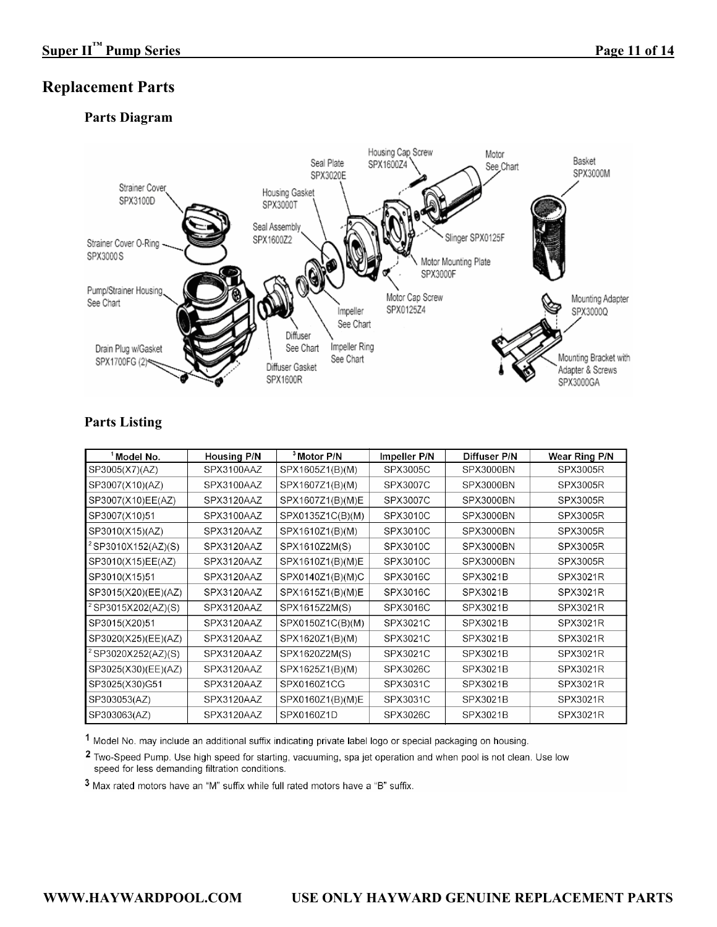# **Replacement Parts**

# **Parts Diagram**



# **Parts Listing**

| <sup>1</sup> Model No.         | <b>Housing P/N</b> | <sup>3</sup> Motor P/N | <b>Impeller P/N</b> | <b>Diffuser P/N</b> | Wear Ring P/N   |
|--------------------------------|--------------------|------------------------|---------------------|---------------------|-----------------|
| SP3005(X7)(AZ)                 | SPX3100AAZ         | SPX1605Z1(B)(M)        | <b>SPX3005C</b>     | SPX3000BN           | <b>SPX3005R</b> |
| SP3007(X10)(AZ)                | SPX3100AAZ         | SPX1607Z1(B)(M)        | <b>SPX3007C</b>     | SPX3000BN           | <b>SPX3005R</b> |
| SP3007(X10)EE(AZ)              | SPX3120AAZ         | SPX1607Z1(B)(M)E       | SPX3007C            | SPX3000BN           | <b>SPX3005R</b> |
| SP3007(X10)51                  | SPX3100AAZ         | SPX0135Z1C(B)(M)       | SPX3010C            | SPX3000BN           | <b>SPX3005R</b> |
| SP3010(X15)(AZ)                | SPX3120AAZ         | SPX1610Z1(B)(M)        | SPX3010C            | SPX3000BN           | <b>SPX3005R</b> |
| <sup>2</sup> SP3010X152(AZ)(S) | SPX3120AAZ         | SPX1610Z2M(S)          | SPX3010C            | SPX3000BN           | <b>SPX3005R</b> |
| SP3010(X15)EE(AZ)              | SPX3120AAZ         | SPX1610Z1(B)(M)E       | SPX3010C            | SPX3000BN           | <b>SPX3005R</b> |
| SP3010(X15)51                  | SPX3120AAZ         | SPX0140Z1(B)(M)C       | SPX3016C            | SPX3021B            | <b>SPX3021R</b> |
| SP3015(X20)(EE)(AZ)            | SPX3120AAZ         | SPX1615Z1(B)(M)E       | SPX3016C            | SPX3021B            | <b>SPX3021R</b> |
| <sup>2</sup> SP3015X202(AZ)(S) | SPX3120AAZ         | SPX1615Z2M(S)          | SPX3016C            | SPX3021B            | <b>SPX3021R</b> |
| SP3015(X20)51                  | SPX3120AAZ         | SPX0150Z1C(B)(M)       | SPX3021C            | <b>SPX3021B</b>     | <b>SPX3021R</b> |
| SP3020(X25)(EE)(AZ)            | SPX3120AAZ         | SPX1620Z1(B)(M)        | SPX3021C            | <b>SPX3021B</b>     | <b>SPX3021R</b> |
| <sup>2</sup> SP3020X252(AZ)(S) | SPX3120AAZ         | SPX1620Z2M(S)          | SPX3021C            | SPX3021B            | <b>SPX3021R</b> |
| SP3025(X30)(EE)(AZ)            | SPX3120AAZ         | SPX1625Z1(B)(M)        | SPX3026C            | <b>SPX3021B</b>     | <b>SPX3021R</b> |
| SP3025(X30)G51                 | SPX3120AAZ         | SPX0160Z1CG            | SPX3031C            | SPX3021B            | <b>SPX3021R</b> |
| SP303053(AZ)                   | SPX3120AAZ         | SPX0160Z1(B)(M)E       | SPX3031C            | SPX3021B            | <b>SPX3021R</b> |
| SP303063(AZ)                   | SPX3120AAZ         | SPX0160Z1D             | SPX3026C            | SPX3021B            | <b>SPX3021R</b> |

1 Model No. may include an additional suffix indicating private label logo or special packaging on housing.

<sup>2</sup> Two-Speed Pump. Use high speed for starting, vacuuming, spa jet operation and when pool is not clean. Use low speed for less demanding filtration conditions.

3 Max rated motors have an "M" suffix while full rated motors have a "B" suffix.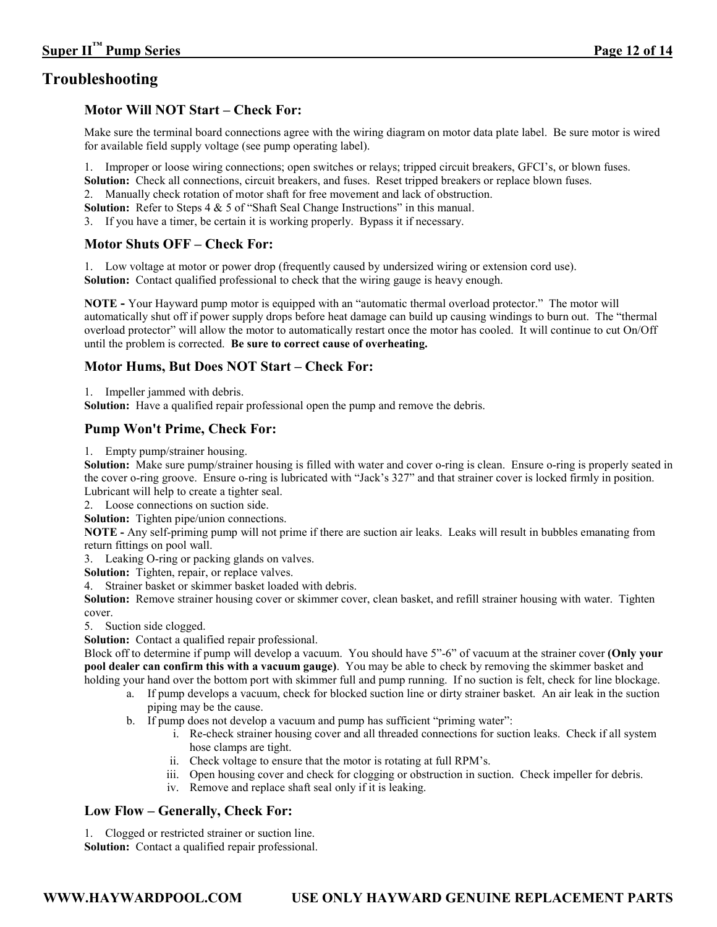# **Troubleshooting**

#### **Motor Will NOT Start – Check For:**

Make sure the terminal board connections agree with the wiring diagram on motor data plate label. Be sure motor is wired for available field supply voltage (see pump operating label).

1. Improper or loose wiring connections; open switches or relays; tripped circuit breakers, GFCI's, or blown fuses.

**Solution:** Check all connections, circuit breakers, and fuses. Reset tripped breakers or replace blown fuses.

2. Manually check rotation of motor shaft for free movement and lack of obstruction.

Solution: Refer to Steps 4 & 5 of "Shaft Seal Change Instructions" in this manual.

3. If you have a timer, be certain it is working properly. Bypass it if necessary.

#### **Motor Shuts OFF – Check For:**

1. Low voltage at motor or power drop (frequently caused by undersized wiring or extension cord use). **Solution:** Contact qualified professional to check that the wiring gauge is heavy enough.

**NOTE -** Your Hayward pump motor is equipped with an "automatic thermal overload protector." The motor will automatically shut off if power supply drops before heat damage can build up causing windings to burn out. The "thermal overload protector" will allow the motor to automatically restart once the motor has cooled. It will continue to cut On/Off until the problem is corrected. **Be sure to correct cause of overheating.** 

#### **Motor Hums, But Does NOT Start – Check For:**

1. Impeller jammed with debris.

**Solution:** Have a qualified repair professional open the pump and remove the debris.

#### **Pump Won't Prime, Check For:**

1. Empty pump/strainer housing.

**Solution:** Make sure pump/strainer housing is filled with water and cover o-ring is clean. Ensure o-ring is properly seated in the cover o-ring groove. Ensure o-ring is lubricated with "Jack's 327" and that strainer cover is locked firmly in position. Lubricant will help to create a tighter seal.

2. Loose connections on suction side.

**Solution:** Tighten pipe/union connections.

**NOTE -** Any self-priming pump will not prime if there are suction air leaks. Leaks will result in bubbles emanating from return fittings on pool wall.

3. Leaking O-ring or packing glands on valves.

**Solution:** Tighten, repair, or replace valves.

4. Strainer basket or skimmer basket loaded with debris.

**Solution:** Remove strainer housing cover or skimmer cover, clean basket, and refill strainer housing with water. Tighten cover.

5. Suction side clogged.

**Solution:** Contact a qualified repair professional.

Block off to determine if pump will develop a vacuum. You should have 5"-6" of vacuum at the strainer cover **(Only your pool dealer can confirm this with a vacuum gauge)**. You may be able to check by removing the skimmer basket and holding your hand over the bottom port with skimmer full and pump running. If no suction is felt, check for line blockage.

- a. If pump develops a vacuum, check for blocked suction line or dirty strainer basket. An air leak in the suction piping may be the cause.
- b. If pump does not develop a vacuum and pump has sufficient "priming water":
	- i. Re-check strainer housing cover and all threaded connections for suction leaks. Check if all system hose clamps are tight.
	- ii. Check voltage to ensure that the motor is rotating at full RPM's.
	- iii. Open housing cover and check for clogging or obstruction in suction. Check impeller for debris.
	- iv. Remove and replace shaft seal only if it is leaking.

#### **Low Flow – Generally, Check For:**

1. Clogged or restricted strainer or suction line.

**Solution:** Contact a qualified repair professional.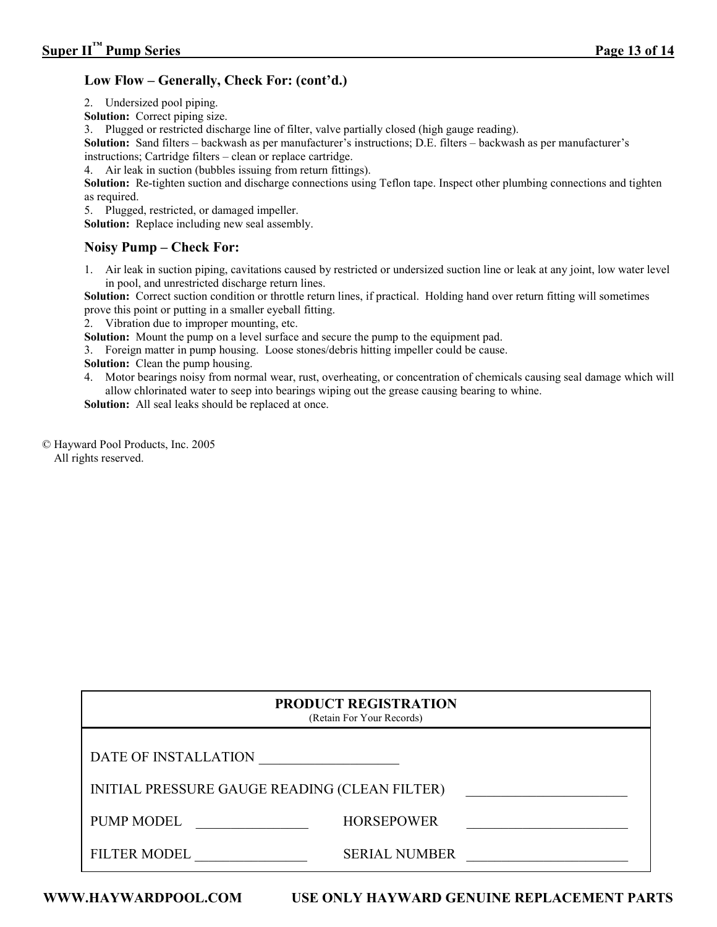#### **Low Flow – Generally, Check For: (cont'd.)**

2. Undersized pool piping.

**Solution:** Correct piping size.

3. Plugged or restricted discharge line of filter, valve partially closed (high gauge reading).

**Solution:** Sand filters – backwash as per manufacturer's instructions; D.E. filters – backwash as per manufacturer's instructions; Cartridge filters – clean or replace cartridge.

4. Air leak in suction (bubbles issuing from return fittings).

**Solution:** Re-tighten suction and discharge connections using Teflon tape. Inspect other plumbing connections and tighten as required.

5. Plugged, restricted, or damaged impeller.

**Solution:** Replace including new seal assembly.

#### **Noisy Pump – Check For:**

1. Air leak in suction piping, cavitations caused by restricted or undersized suction line or leak at any joint, low water level in pool, and unrestricted discharge return lines.

**Solution:** Correct suction condition or throttle return lines, if practical. Holding hand over return fitting will sometimes prove this point or putting in a smaller eyeball fitting.

2. Vibration due to improper mounting, etc.

**Solution:** Mount the pump on a level surface and secure the pump to the equipment pad.

3. Foreign matter in pump housing. Loose stones/debris hitting impeller could be cause.

**Solution:** Clean the pump housing.

4. Motor bearings noisy from normal wear, rust, overheating, or concentration of chemicals causing seal damage which will allow chlorinated water to seep into bearings wiping out the grease causing bearing to whine.

**Solution:** All seal leaks should be replaced at once.

© Hayward Pool Products, Inc. 2005 All rights reserved.

|                                               | <b>PRODUCT REGISTRATION</b><br>(Retain For Your Records) |  |
|-----------------------------------------------|----------------------------------------------------------|--|
| DATE OF INSTALLATION                          |                                                          |  |
| INITIAL PRESSURE GAUGE READING (CLEAN FILTER) |                                                          |  |
| <b>PUMP MODEL</b>                             | <b>HORSEPOWER</b>                                        |  |
| <b>FILTER MODEL</b>                           | <b>SERIAL NUMBER</b>                                     |  |

**WWW.HAYWARDPOOL.COM USE ONLY HAYWARD GENUINE REPLACEMENT PARTS**